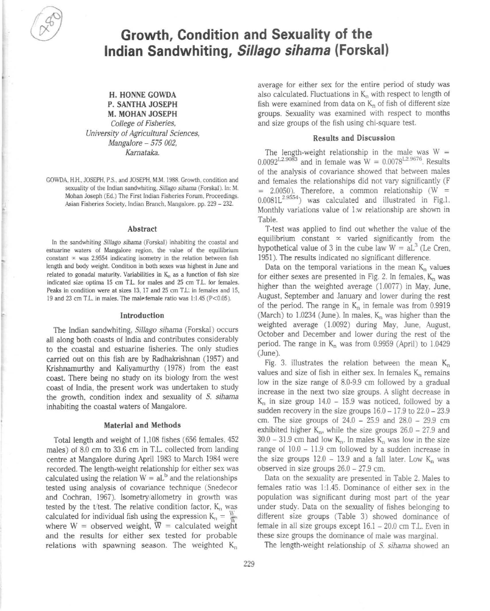# **Growth, Condition and Sexuality of the Indian Sandwhiting, Sil/ago sihama (Forskal)**

# H. HONNE GOWDA P. SANTHA JOSEPH M. MOHAN JOSEPH College of Fisheries,

University of Agricultural Sciences, Mangalore - 575 002, Kamataka.

GOWDA, H.H., JOSEPH, P.S., and JOSEPH, M.M. 1988. Growth, condition and sexuality of the Indian sandwhiting, Sillago sihama (Forskal). In: M. Mohan Joseph (Ed.) The First Indian Fisheries Forum, Proceedings. Asian Fisheries Society, Indian Branch, Mangaiore. pp. 229 - 232.

#### Abstract

In the sandwhiting *5i11ago sihama* (Forskal) inhabiting the coastal and estuarine waters of Mangalore region. the value of the equilibrium constant  $\infty$  was 2.9554 indicating isometry in the relation between fish length and body weight. Condition in both sexes was highest in June and related to gonadal maturity. Variabilities in  $K_n$  as a function of fish size indicated size optima 15 cm T.L. for males and 25 cm T.L. for females. Peaks in condition were at sizes 13, 17 and 25 cm T.L: in females and l5. 19 and 23 cm T.L. in males. The male female ratio was 1:1.45 (P<0.05).

#### Introduction

The Indian sandwhiting, Sillago sihama (Forskal) occurs all along both coasts of India and contributes considerably to the coastal and estuarine fisheries. The only studies carried out on this fish are by Radhakrishnan (1957) and Krishnamurthy and Kaliyamurthy (1978) from the east coast. There being no study on its biology from the west coast of India, the present work was undertaken to study the growth. condition index and sexuality of S. sihama inhabiting the coastal waters of Mangalore.

### Material and Methods

Total length and weight of 1,108 fishes (656 females, 452 males) of 8.0 cm to 33.6 cm in T.L. collected from landing centre at Mangalore during April 1983 to March 1984 were recorded. The length·weight relationship for either sex was calculated using the relation  $W = aL<sup>b</sup>$  and the relationships tested using analysis of covariance technique (Snedecor and Cochran, 1967). Isometry/allometry in growth was tested by the t/test. The relative condition factor,  $K_n$  was calculated for individual fish using the expression  $K_n = \frac{W_n}{\sqrt{n}}$ where  $W =$  observed weight,  $\overline{W} =$  calculated weight and the results for either sex tested for probable relations with spawning season. The weighted  $K_n$ 

average for either sex for the entire period of study was also calculated. Fluctuations in  $K_n$  with respect to length of fish were examined from data on  $K_n$  of fish of different size groups. Sexuality was examined with respect to months and size groups of the fish using chi·square test.

#### Results and Discussion

The length-weight relationship in the male was  $W =$  $0.0092^{L2.9083}$  and in female was  $W = 0.0078^{L2.9676}$ . Results of the analysis of covariance showed that between males and females the relationships did not vary significantly (F  $= 2.0050$ ). Therefore, a common relationship (W  $=$  $0.0081L^{2.9554}$  was calculated and illustrated in Fig.1. Monthly variations value of l:w relationship are shown in Table.

T·test was applied to find out whether the value of the equilibrium constant  $\infty$  varied significantly from the hypothetical value of 3 in the cube law  $W = aL<sup>3</sup>$  (Le Cren, 1951). The results indicated no significant difference.

Data on the temporal variations in the mean  $K_n$  values for either sexes are presented in Fig. 2. In females,  $K_n$  was higher than the weighted average (1.0077) in May, June, August, September and January and lower during the rest of the period. The range in  $K_n$  in female was from 0.9919 (March) to  $1.0234$  (June). In males,  $K_n$  was higher than the weighted average (1.0092) during May, June, August, October and December and lower during the rest of the period. The range in  $K_n$  was from 0.9959 (April) to 1.0429 (June).

Fig. 3. illustrates the relation between the mean  $K_n$ values and size of fish in either sex. In females  $K_n$  remains low in the size range of 8.0·9.9 cm followed by a gradual increase in the next two size groups. A slight decrease in  $K_n$  in size group 14.0 – 15.9 was noticed, followed by a sudden recovery in the size groups  $16.0 - 17.9$  to  $22.0 - 23.9$ cm. The size groups of 24.0 - 25.9 and 28.0 - 29.9 cm exhibited higher  $K_n$ , while the size groups  $26.0 - 27.9$  and  $30.0 - 31.9$  cm had low  $K_n$ . In males  $K_n$  was low in the size range of  $10.0 - 11.9$  cm followed by a sudden increase in the size groups  $12.0 - 13.9$  and a fall later. Low  $K_n$  was observed in size groups  $26.0 - 27.9$  cm.

Data on the sexuality are presented in Table 2. Males to females ratio was 1:1.45. Dominance of either sex in the population was significant during most part 01 the year under study. Data on the sexuality of fishes belonging to different size groups (Table 3) showed dominance of female in all size groups except 16.1 - 20.0 cm T.L. Even in these size groups the dominance 01 male was marginal.

The length-weight relationship of S. sihama showed an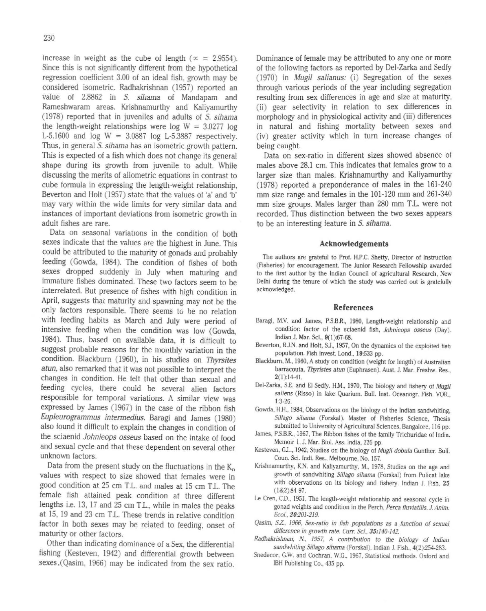increase in weight as the cube of length ( $x = 2.9554$ ). Since this is not significantly different from the hypothetical regression coefficient 3.00 of an ideal fish, growth may be considered isometric. Radhakrishnan (1957) reported an value of 2.8862 in *S. sihama* of Mandapam and Rameshwaram areas. Krishnamurthy and Kaliyamurthy (1978) reported that in juveniles and adults of *S. sihama*  the length-weight relationships were log  $W = 3.0277$  log L-5.1600 and  $log W = 3.0887 log L-5.3887 respectively.$ Thus, in general *S. sihama* has an isometric growth pattern. This is expected of a fish which does not change its general shape during its growth from juvenile to adult. While discussing the merits of allometric equations in contrast to cube formula in expressing the length-weight relationship, Beverton and Holt (1957) state that the values of 'a' and 'b' may vary within the wide limits for very similar data and instances of important deviations from isometric growth in adult fishes are rare.

Data on seasonal variations in the condition of both sexes indicate that the values are the highest in June. This could be attributed to the maturity of gonads and probably feeding (Gowda, 1984). The condition of fishes of both sexes dropped suddenly in July when maturing and immature fishes dominated. These two factors seem to be interrelated. But presence of fishes with high condition in April, suggests thac maturity and spawning may not be the only factors responsible. There seems to he no relation with feeding habits as March and July were period of intensive feeding when the condition was low (Gowda, 1984). Thus, based on available data, it is difficult to suggest probable reasons for the monthly variation in the condition. Blackburn (1960), in his studies on *Thyrsiles alun,* also remarked that it was not possible to interpret the changes in condition. He felt that other than sexual and feeding cycles, there could be several alien factors responsible for temporal variations. A similar view was expressed by James (1967) in the case of the ribbon fish *EupJeurogrammus intermedius.* Baragi and James (1980) also found it difficult to explain the changes in condition of the sciaenid *Johnieops osseus* based on the intake of food and sexual cycle and that these dependent on several other unknown factors.

Data from the present study on the fluctuations in the  $K_n$ values with respect to size showed that females were in good condition at 25 cm T.L. and males at 15 cm T.L. The female fish attained peak condition at three different lengths i.e. 13, 17 and 25 cm T.L., while in males the peaks at 15, 19 and 23 cm T.L. These trends in relative condition factor in both sexes may be related to feeding, onset of maturity or other factors.

Other than indicating dominance of a Sex, the differential fishing (Kesteven, 1942) and differential growth between sexes.(Qasim, 1966) may be indicated from the sex ratio.

Dominance of female may be attributed to anyone or more of the following factors as reported by Del-Zarka and Sedfy (1970) in *Mugil saJianus:* (i) Segregation of the sexes through various periods of the year including segregation resulting from sex differences in age and size at maturity, (ii) gear selectivity in relation to sex differences in morphology and in physiological activity and (iii) differences in natural and fishing mortality between sexes and (iv) greater activity which in turn increase changes of being caught.

Data on sex-ratio in different sizes showed absence of males above 28.1 cm. This indicates that females grow to a larger size than males. Krishnamurthy and Kaliyamurthy (1978) reported a preponderance of males in the 161-240 mm size range and females in the 101-120 mm and 261-340 mm size groups. Males larger than 280 mm T.L. were not recorded. Thus distinction between the two sexes appears to be an interesting feature in *S. sihama.* 

#### Acknowledgements

The authors are grateful to Prof. HP.C. Shetty, Director of Instruction (Fisheries) for encouragement. The Junior Research Fellowship awarded to the first author by the Indian Council of agricultural Research, New Delhi during the tenure of which the study was carried out is gratefully acknowledged.

#### References

- Baragi, M.V. and James, P.S.B.R., 1980, Length-weight relationship and conditior. factor of the sciaenid fish, Johnieops osseus (Day). Indian J. Mar. Sci., 9(1 ):67·68.
- Beverton, RJN. and Holt. SJ., 1957, On the dynamics of the exploited fish population. Fish invest. Lond., 19:533 pp.
- Blackburn, M., 1960. A study on condition (weight for length) of Australian barracouta, Thyristes atun (Euphrasen). Aust. J. Mar. Freshw. Res., 2(1} 14-41.
- Del-Zarka, S.E. and El-Sedfy, H.M., 1970, The biology and fishery of Mugil saliens (Risso) in lake Quarium. Bull. Inst. Oceanogr. Fish. VOR., 13-26.
- Gowda. H.H., 1984, Observations on the biology of the Indian sandwhiting, Sillago sihama (Forskal). Master of Fisheries Science, Thesis submitted to University of Agricultural Sciences, Bangalore, 116 pp.
- James, P.5BR.. 1967, The Ribbon fishes of the family Trichuridae of India. Memoir 1, J. Mar. Biol. Ass. India, 226 pp.
- Kesteven, G.L., 1942, Studies on the biology of Mugil dobula Gunther. Bull. Coun. Sci. Indi. Res., Melbourne, No. 157.
- Krishnamurthy, KN. and Kaliyamurthy, M., 1978, Studies on the age and growth of sandwhiting Sillago sihama (Forskal) from Pulicat lake with observations on its biology and fishery. Indian J. Fish. 25  $(1&2):84-97.$
- Le Cren, C.D., 1951, The length-weight relationship and seasonal cycle in gonad weights and condition in the Perch, Perca fluviatilis. J. Anim. £cof., 20201-219.
- Qasim, S.Z., 1966, Sex-ratio in fish populations as a function of sexual difference in growth rate. Curr. Sci., 35:140-142.
- Radhakrishnan, N., 1957, A contribution to the biology of Indian sandwhiting Sillago sihama (Forskal). Indian J. Fish., 4(2):254-283.
- Snedecor, G.W. and Cochran, W.G., 1967, Statistical methods. Oxford and IBH Publishing Co., 435 pp.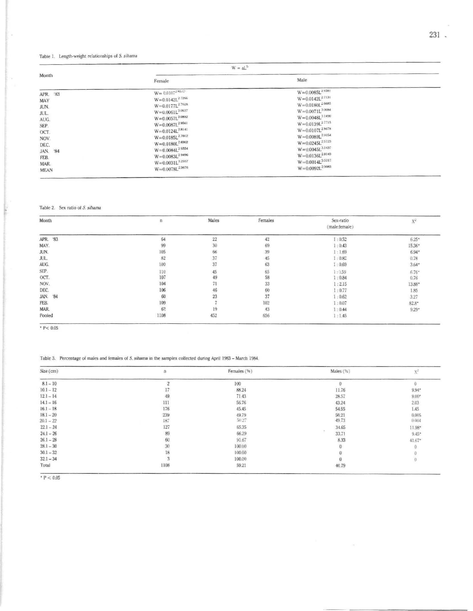# Table 1. Length-weight relationships of S. sihama

 $\epsilon$ 

 $\overline{\phantom{a}}$ 

| Month       | $W = aLb$                    |                        |  |
|-------------|------------------------------|------------------------|--|
|             | Female                       | Male                   |  |
| APR. '83    | $W = 0.0107^{2.8537}$        | $W = 0.0085L^{2.9381}$ |  |
| MAY         | $W=0.0142L^{2.7266}$         | $W = 0.0142L^{2.7131}$ |  |
| JUN.        | $W = 0.0177L^{2.7028}$       | $W = 0.0180L^{2.6685}$ |  |
| JUL.        | $W = 0.0061L^{3.0637}$       | $W = 0.0071L^{3.0084}$ |  |
| AUG.        | $W = 0.0057L^{3.0892}$       | $W = 0.0048L^{3.1490}$ |  |
| SEP.        | $W=0.0087L^{2.9561}$         | $W = 0.0139L^{2.7715}$ |  |
| OCT.        | $W=0.0124L^{2.8141}$         | $W = 0.0107L^{2.8678}$ |  |
| NOV.        | $W = 0.0185L^{2,7012}$       | $W=0.0089L^{2.9154}$   |  |
| DEC.        | $\rm W\!=\!0.0180L^{2.6902}$ | $W=0.0245L^{2.5723}$   |  |
| JAN. 84     | $W = 0.0084L^{2.9354}$       | $W = 0.0045L^{3.1437}$ |  |
| FEB.        | $W = 0.0083L^{2.9496}$       | $W=0.0136L^{2.8143}$   |  |
| MAR.        | $W = 0.0031L^{3.2557}$       | $W=0.0014L^{3.5217}$   |  |
| <b>MEAN</b> | $W=0.0078L^{2.9676}$         | $W = 0.0092L^{2.9083}$ |  |

# Table 2. Sex ratio of S. sihama

| Month    | n    | Males           | Females                                              | Sex-ratio<br>(male:female) | $X^2$            |
|----------|------|-----------------|------------------------------------------------------|----------------------------|------------------|
| APR. '83 | 64   | $^{22}$         | 42                                                   | 1:0.52                     | $6.25*$          |
| MAY.     | 99   | 30              | 69                                                   | 1:0.43                     | 15.36*           |
| JUN.     | 105  | 66              | 39                                                   | 1:1.69                     | $6.94*$          |
| JUL.     | 82   |                 |                                                      | 1:0.82                     | 0.78             |
| AUG.     | 100  | $\frac{37}{37}$ | $45$<br>$63$                                         | 1:0.69                     | $3.64*$          |
| SEP.     | 110  | 45              | 65<br>58                                             | 1:9.59                     |                  |
| OCT.     | 107  | 49              |                                                      | 1:0.84                     | $6.76^*$<br>0.76 |
| NOV.     | 104  | 71              | $\begin{array}{c} 33 \\ 60 \\ 37 \\ 102 \end{array}$ | 1:2.15                     | 13.88*           |
| DEC.     | 106  |                 |                                                      | 1:0.77                     | 1.85             |
| JAN. '84 | 60   | 46<br>23        |                                                      | 1:0.62                     | 3.27             |
| FEB.     | 109  |                 |                                                      | 1:0.07                     | $82.8*$          |
| MAR.     | 62   | 19              | 43                                                   | 1:0.44                     | $9.29*$          |
| Pooled   | 1108 | 452             | 656                                                  | 1:1.45                     |                  |

 $P < 0.05$ 

Table 3. Percentage of males and lemales of S. sihama in the samples collected during April 1983 - March 1984.

| Size (cm)   | п    | Females (%) | Males (%) | X.                       |
|-------------|------|-------------|-----------|--------------------------|
| $8.1 - 10$  |      | 100         |           | 0                        |
| $10.1 - 12$ |      | 88.24       | 11.76     | $9.94*$                  |
| $12.1 - 14$ | 49   | 71.43       | 28.57     |                          |
| $14.1 - 16$ | 111  | 56.76       | 43.24     | $9.00^{\circ}$ 2.03 1.45 |
| $16.1 - 18$ | 176  | 45.45       | 54.55     |                          |
| $18.1 - 20$ | 239  | 49.79       | 50.21     | 0.005                    |
| $20.1 - 22$ | 187  | 50.27       | 49.73     | 0.004                    |
| $22.1 - 24$ | 127  | 65.35       | 34.65     | $11.98*$                 |
| $24.1 - 26$ | 89   | 66.29       | 33.71     | $9.45*$                  |
| $26.1 - 28$ | 60   | 91.67       | 8.33      | 41.67*                   |
| $28.1 - 30$ | 30   | 100.00      | $\Omega$  |                          |
| $30.1 - 32$ | 18   | 100.00      |           |                          |
| $32.1 - 34$ |      | 100.00      |           | 0                        |
| Total       | 1108 | 59.21       | 40.79     |                          |

 $P < 0.05$ 

i,